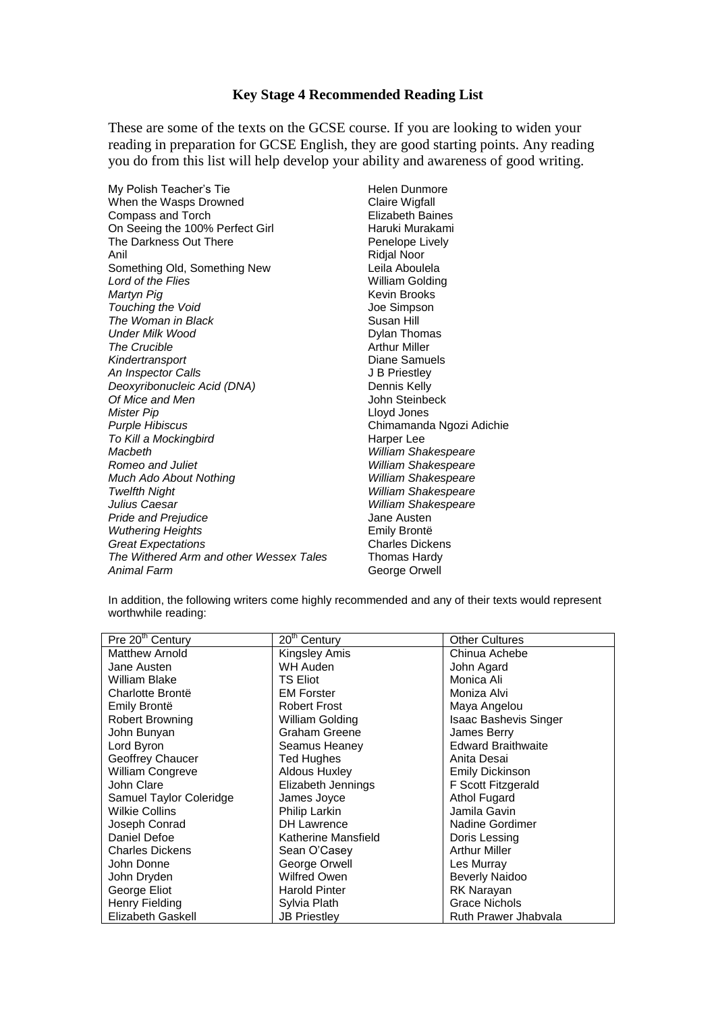## **Key Stage 4 Recommended Reading List**

These are some of the texts on the GCSE course. If you are looking to widen your reading in preparation for GCSE English, they are good starting points. Any reading you do from this list will help develop your ability and awareness of good writing.

My Polish Teacher's Tie Helen Dunmore When the Wasps Drowned Claire Wigfall Compass and Torch **Elizabeth Baines**<br>
On Seeing the 100% Perfect Girl **Elizabeth Baines** On Seeing the 100% Perfect Girl The Darkness Out There **Penelope Lively** Anil Ridjal Noor Something Old, Something New Leila Aboulela **Lord of the Flies William Golding** *Martyn Pig* **Kevin Brooks Touching the Void Joe Simpson The Woman in Black** Susan Hill **Under Milk Wood Dylan Thomas The Crucible Arthur Miller Kindertransport 1997** Changes **Container Changes Changes** Diane Samuels<br> *An Inspector Calls* **An Inspector Calls** *Deoxyribonucleic Acid (DNA)* Dennis Kelly *Of Mice and Men* John Steinbeck<br> *Mister Pin Purple Hibiscus* Chimamanda Ngozi Adichie **To Kill a Mockingbird Harper Lee** *Macbeth William Shakespeare Romeo and Juliet William Shakespeare Much Ado About Nothing William Shakespeare Twelfth Night William Shakespeare Julius Caesar William Shakespeare* Pride and Prejudice **Austen Contains a Series Australian Austen**<br>
Wuthering Heights **Jane Australian Contains** Emily Brontë *Wuthering Heights* Emily Brontë **Great Expectations** *The Withered Arm and other Wessex Tales* Thomas Hardy *Animal Farm* George Orwell

*Mister Pip* Lloyd Jones

In addition, the following writers come highly recommended and any of their texts would represent worthwhile reading:

| Pre 20 <sup>th</sup> Century | $20th$ Century       | <b>Other Cultures</b>        |
|------------------------------|----------------------|------------------------------|
| <b>Matthew Arnold</b>        | Kingsley Amis        | Chinua Achebe                |
| Jane Austen                  | WH Auden             | John Agard                   |
| William Blake                | <b>TS Eliot</b>      | Monica Ali                   |
| Charlotte Brontë             | <b>EM Forster</b>    | Moniza Alvi                  |
| Emily Brontë                 | <b>Robert Frost</b>  | Maya Angelou                 |
| Robert Browning              | William Golding      | <b>Isaac Bashevis Singer</b> |
| John Bunyan                  | Graham Greene        | James Berry                  |
| Lord Byron                   | Seamus Heaney        | <b>Edward Braithwaite</b>    |
| Geoffrey Chaucer             | <b>Ted Hughes</b>    | Anita Desai                  |
| William Congreve             | Aldous Huxley        | <b>Emily Dickinson</b>       |
| John Clare                   | Elizabeth Jennings   | F Scott Fitzgerald           |
| Samuel Taylor Coleridge      | James Joyce          | <b>Athol Fugard</b>          |
| Wilkie Collins               | Philip Larkin        | Jamila Gavin                 |
| Joseph Conrad                | <b>DH Lawrence</b>   | Nadine Gordimer              |
| Daniel Defoe                 | Katherine Mansfield  | Doris Lessing                |
| <b>Charles Dickens</b>       | Sean O'Casey         | <b>Arthur Miller</b>         |
| John Donne                   | George Orwell        | Les Murray                   |
| John Dryden                  | <b>Wilfred Owen</b>  | <b>Beverly Naidoo</b>        |
| George Eliot                 | <b>Harold Pinter</b> | <b>RK Narayan</b>            |
| Henry Fielding               | Sylvia Plath         | <b>Grace Nichols</b>         |
| Elizabeth Gaskell            | <b>JB Priestley</b>  | Ruth Prawer Jhabvala         |